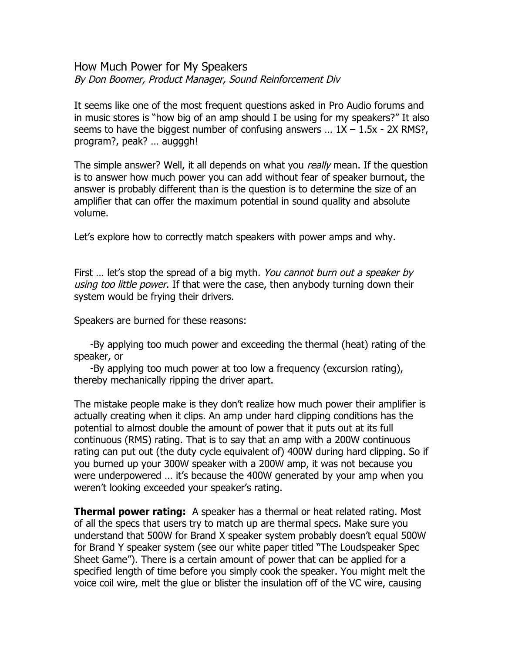## How Much Power for My Speakers By Don Boomer, Product Manager, Sound Reinforcement Div

It seems like one of the most frequent questions asked in Pro Audio forums and in music stores is "how big of an amp should I be using for my speakers?" It also seems to have the biggest number of confusing answers ...  $1X - 1.5x - 2X$  RMS?, program?, peak? ... augggh!

The simple answer? Well, it all depends on what you *really* mean. If the question is to answer how much power you can add without fear of speaker burnout, the answer is probably different than is the question is to determine the size of an amplifier that can offer the maximum potential in sound quality and absolute volume.

Let's explore how to correctly match speakers with power amps and why.

First ... let's stop the spread of a big myth. You cannot burn out a speaker by using too little power. If that were the case, then anybody turning down their system would be frying their drivers.

Speakers are burned for these reasons:

-By applying too much power and exceeding the thermal (heat) rating of the speaker, or

-By applying too much power at too low a frequency (excursion rating), thereby mechanically ripping the driver apart.

The mistake people make is they don't realize how much power their amplifier is actually creating when it clips. An amp under hard clipping conditions has the potential to almost double the amount of power that it puts out at its full continuous (RMS) rating. That is to say that an amp with a 200W continuous rating can put out (the duty cycle equivalent of) 400W during hard clipping. So if vou burned up your 300W speaker with a 200W amp, it was not because you were underpowered ... it's because the 400W generated by your amp when you weren't looking exceeded your speaker's rating.

**Thermal power rating:** A speaker has a thermal or heat related rating. Most of all the specs that users try to match up are thermal specs. Make sure you understand that 500W for Brand X speaker system probably doesn't equal 500W for Brand Y speaker system (see our white paper titled "The Loudspeaker Spec Sheet Game"). There is a certain amount of power that can be applied for a specified length of time before you simply cook the speaker. You might melt the voice coil wire, melt the glue or blister the insulation off of the VC wire, causing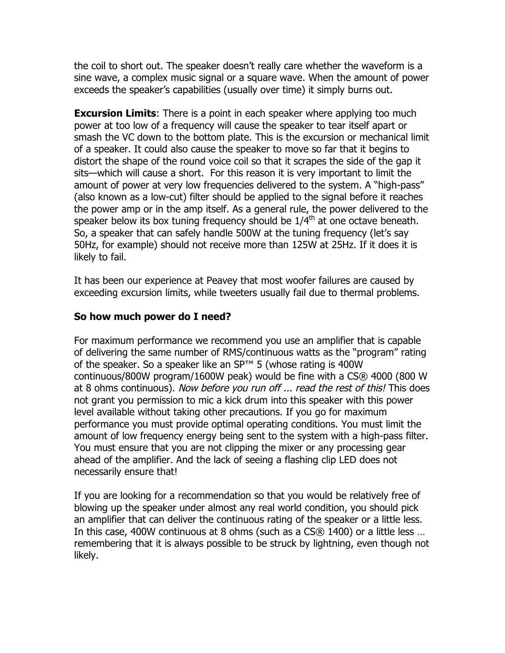the coil to short out. The speaker doesn't really care whether the waveform is a sine wave, a complex music signal or a square wave. When the amount of power exceeds the speaker's capabilities (usually over time) it simply burns out.

**Excursion Limits:** There is a point in each speaker where applying too much power at too low of a frequency will cause the speaker to tear itself apart or smash the VC down to the bottom plate. This is the excursion or mechanical limit of a speaker. It could also cause the speaker to move so far that it begins to distort the shape of the round voice coil so that it scrapes the side of the gap it sits—which will cause a short. For this reason it is very important to limit the amount of power at very low frequencies delivered to the system. A "high-pass" (also known as a low-cut) filter should be applied to the signal before it reaches the power amp or in the amp itself. As a general rule, the power delivered to the speaker below its box tuning frequency should be  $1/4<sup>th</sup>$  at one octave beneath. So, a speaker that can safely handle 500W at the tuning frequency (let's say 50Hz, for example) should not receive more than 125W at 25Hz. If it does it is likely to fail.

It has been our experience at Peavey that most woofer failures are caused by exceeding excursion limits, while tweeters usually fail due to thermal problems.

## **So how much power do I need?**

For maximum performance we recommend you use an amplifier that is capable of delivering the same number of RMS/continuous watts as the "program" rating of the speaker. So a speaker like an SP<sup>™</sup> 5 (whose rating is 400W continuous/800W program/1600W peak) would be fine with a CS® 4000 (800 W at 8 ohms continuous). Now before you run off ... read the rest of this! This does not grant you permission to mic a kick drum into this speaker with this power level available without taking other precautions. If you go for maximum performance you must provide optimal operating conditions. You must limit the amount of low frequency energy being sent to the system with a high-pass filter. You must ensure that you are not clipping the mixer or any processing gear ahead of the amplifier. And the lack of seeing a flashing clip LED does not necessarily ensure that!

If you are looking for a recommendation so that you would be relatively free of blowing up the speaker under almost any real world condition, you should pick an amplifier that can deliver the continuous rating of the speaker or a little less. In this case, 400W continuous at 8 ohms (such as a CS® 1400) or a little less ... remembering that it is always possible to be struck by lightning, even though not likely.